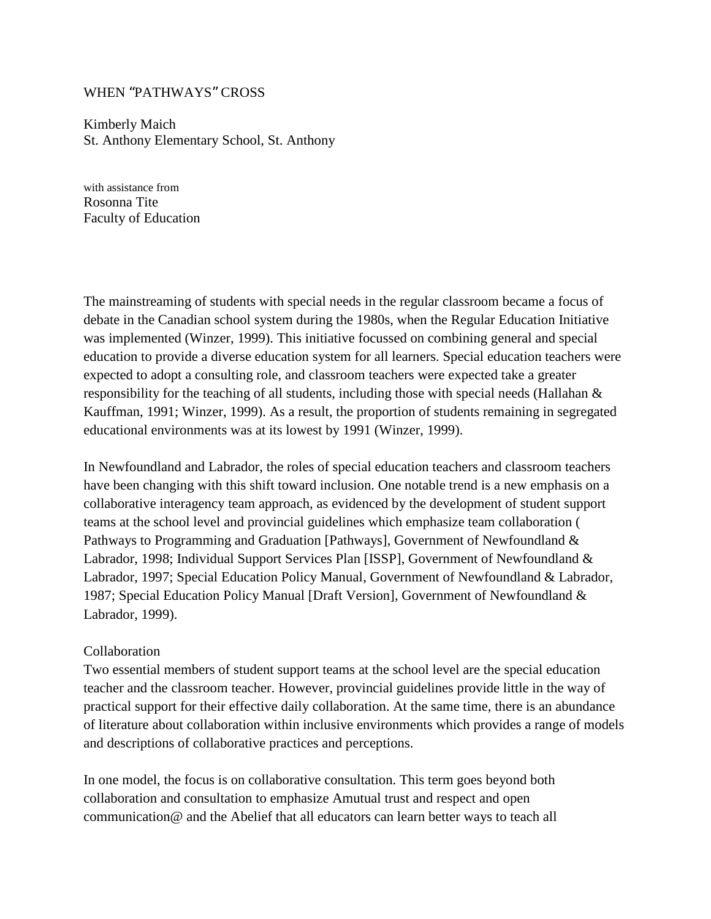## WHEN "PATHWAYS" CROSS

Kimberly Maich St. Anthony Elementary School, St. Anthony

with assistance from Rosonna Tite Faculty of Education

The mainstreaming of students with special needs in the regular classroom became a focus of debate in the Canadian school system during the 1980s, when the Regular Education Initiative was implemented (Winzer, 1999). This initiative focussed on combining general and special education to provide a diverse education system for all learners. Special education teachers were expected to adopt a consulting role, and classroom teachers were expected take a greater responsibility for the teaching of all students, including those with special needs (Hallahan & Kauffman, 1991; Winzer, 1999). As a result, the proportion of students remaining in segregated educational environments was at its lowest by 1991 (Winzer, 1999).

In Newfoundland and Labrador, the roles of special education teachers and classroom teachers have been changing with this shift toward inclusion. One notable trend is a new emphasis on a collaborative interagency team approach, as evidenced by the development of student support teams at the school level and provincial guidelines which emphasize team collaboration ( Pathways to Programming and Graduation [Pathways], Government of Newfoundland & Labrador, 1998; Individual Support Services Plan [ISSP], Government of Newfoundland & Labrador, 1997; Special Education Policy Manual, Government of Newfoundland & Labrador, 1987; Special Education Policy Manual [Draft Version], Government of Newfoundland & Labrador, 1999).

#### Collaboration

Two essential members of student support teams at the school level are the special education teacher and the classroom teacher. However, provincial guidelines provide little in the way of practical support for their effective daily collaboration. At the same time, there is an abundance of literature about collaboration within inclusive environments which provides a range of models and descriptions of collaborative practices and perceptions.

In one model, the focus is on collaborative consultation. This term goes beyond both collaboration and consultation to emphasize Amutual trust and respect and open communication@ and the Abelief that all educators can learn better ways to teach all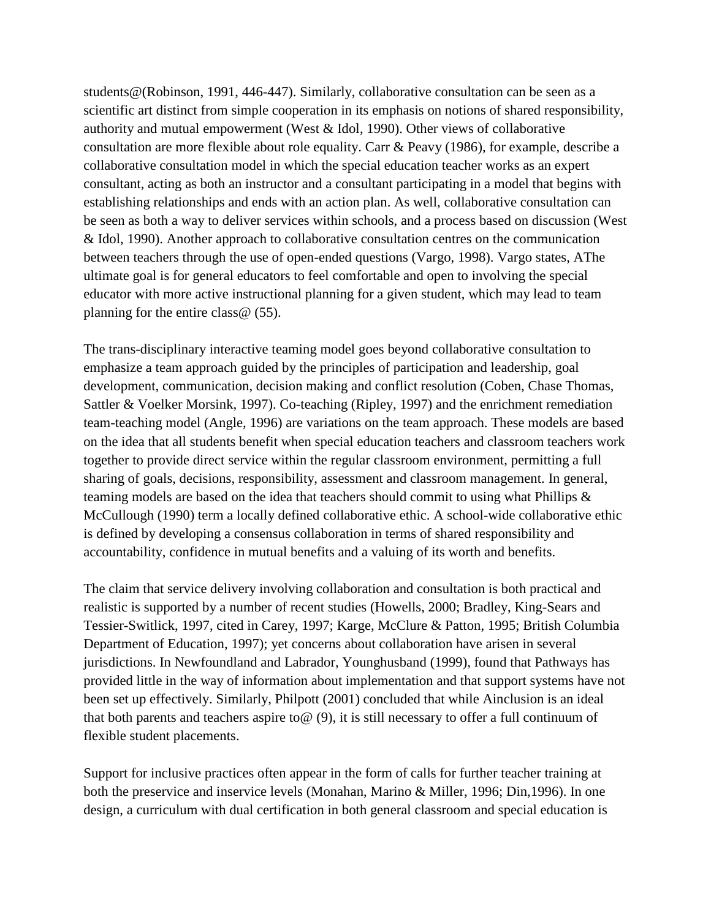students@(Robinson, 1991, 446-447). Similarly, collaborative consultation can be seen as a scientific art distinct from simple cooperation in its emphasis on notions of shared responsibility, authority and mutual empowerment (West & Idol, 1990). Other views of collaborative consultation are more flexible about role equality. Carr & Peavy (1986), for example, describe a collaborative consultation model in which the special education teacher works as an expert consultant, acting as both an instructor and a consultant participating in a model that begins with establishing relationships and ends with an action plan. As well, collaborative consultation can be seen as both a way to deliver services within schools, and a process based on discussion (West & Idol, 1990). Another approach to collaborative consultation centres on the communication between teachers through the use of open-ended questions (Vargo, 1998). Vargo states, AThe ultimate goal is for general educators to feel comfortable and open to involving the special educator with more active instructional planning for a given student, which may lead to team planning for the entire class@ (55).

The trans-disciplinary interactive teaming model goes beyond collaborative consultation to emphasize a team approach guided by the principles of participation and leadership, goal development, communication, decision making and conflict resolution (Coben, Chase Thomas, Sattler & Voelker Morsink, 1997). Co-teaching (Ripley, 1997) and the enrichment remediation team-teaching model (Angle, 1996) are variations on the team approach. These models are based on the idea that all students benefit when special education teachers and classroom teachers work together to provide direct service within the regular classroom environment, permitting a full sharing of goals, decisions, responsibility, assessment and classroom management. In general, teaming models are based on the idea that teachers should commit to using what Phillips & McCullough (1990) term a locally defined collaborative ethic. A school-wide collaborative ethic is defined by developing a consensus collaboration in terms of shared responsibility and accountability, confidence in mutual benefits and a valuing of its worth and benefits.

The claim that service delivery involving collaboration and consultation is both practical and realistic is supported by a number of recent studies (Howells, 2000; Bradley, King-Sears and Tessier-Switlick, 1997, cited in Carey, 1997; Karge, McClure & Patton, 1995; British Columbia Department of Education, 1997); yet concerns about collaboration have arisen in several jurisdictions. In Newfoundland and Labrador, Younghusband (1999), found that Pathways has provided little in the way of information about implementation and that support systems have not been set up effectively. Similarly, Philpott (2001) concluded that while Ainclusion is an ideal that both parents and teachers aspire to  $\omega$  (9), it is still necessary to offer a full continuum of flexible student placements.

Support for inclusive practices often appear in the form of calls for further teacher training at both the preservice and inservice levels (Monahan, Marino & Miller, 1996; Din,1996). In one design, a curriculum with dual certification in both general classroom and special education is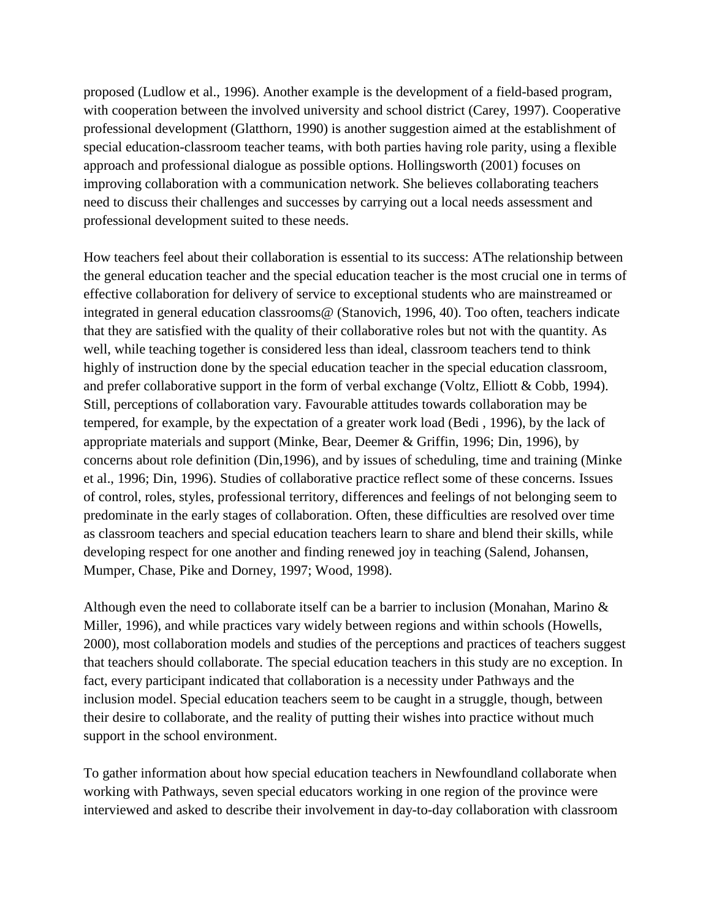proposed (Ludlow et al., 1996). Another example is the development of a field-based program, with cooperation between the involved university and school district (Carey, 1997). Cooperative professional development (Glatthorn, 1990) is another suggestion aimed at the establishment of special education-classroom teacher teams, with both parties having role parity, using a flexible approach and professional dialogue as possible options. Hollingsworth (2001) focuses on improving collaboration with a communication network. She believes collaborating teachers need to discuss their challenges and successes by carrying out a local needs assessment and professional development suited to these needs.

How teachers feel about their collaboration is essential to its success: AThe relationship between the general education teacher and the special education teacher is the most crucial one in terms of effective collaboration for delivery of service to exceptional students who are mainstreamed or integrated in general education classrooms@ (Stanovich, 1996, 40). Too often, teachers indicate that they are satisfied with the quality of their collaborative roles but not with the quantity. As well, while teaching together is considered less than ideal, classroom teachers tend to think highly of instruction done by the special education teacher in the special education classroom, and prefer collaborative support in the form of verbal exchange (Voltz, Elliott & Cobb, 1994). Still, perceptions of collaboration vary. Favourable attitudes towards collaboration may be tempered, for example, by the expectation of a greater work load (Bedi , 1996), by the lack of appropriate materials and support (Minke, Bear, Deemer & Griffin, 1996; Din, 1996), by concerns about role definition (Din,1996), and by issues of scheduling, time and training (Minke et al., 1996; Din, 1996). Studies of collaborative practice reflect some of these concerns. Issues of control, roles, styles, professional territory, differences and feelings of not belonging seem to predominate in the early stages of collaboration. Often, these difficulties are resolved over time as classroom teachers and special education teachers learn to share and blend their skills, while developing respect for one another and finding renewed joy in teaching (Salend, Johansen, Mumper, Chase, Pike and Dorney, 1997; Wood, 1998).

Although even the need to collaborate itself can be a barrier to inclusion (Monahan, Marino  $\&$ Miller, 1996), and while practices vary widely between regions and within schools (Howells, 2000), most collaboration models and studies of the perceptions and practices of teachers suggest that teachers should collaborate. The special education teachers in this study are no exception. In fact, every participant indicated that collaboration is a necessity under Pathways and the inclusion model. Special education teachers seem to be caught in a struggle, though, between their desire to collaborate, and the reality of putting their wishes into practice without much support in the school environment.

To gather information about how special education teachers in Newfoundland collaborate when working with Pathways, seven special educators working in one region of the province were interviewed and asked to describe their involvement in day-to-day collaboration with classroom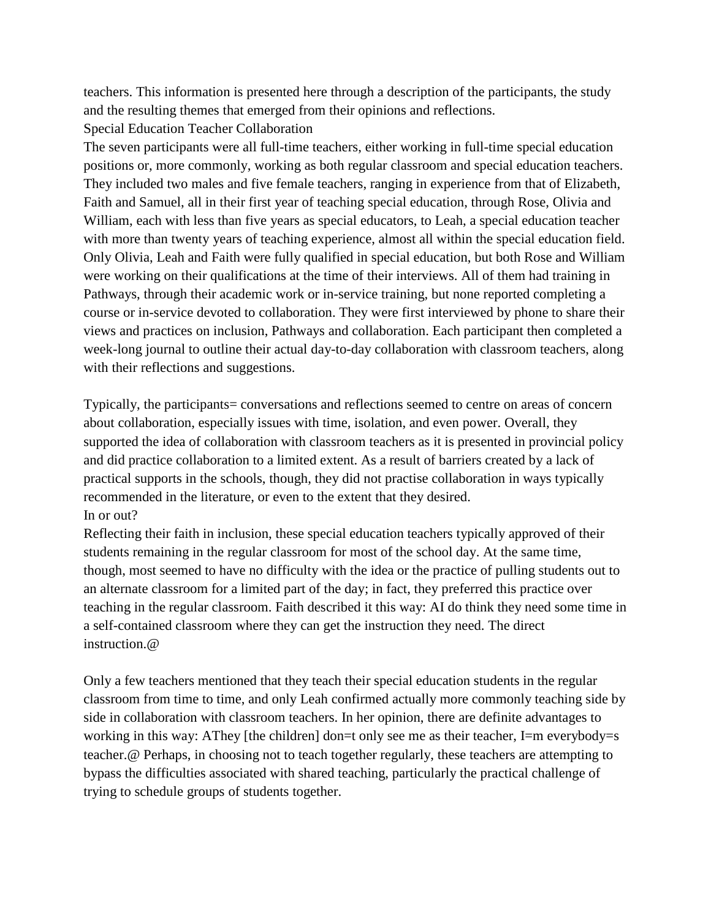teachers. This information is presented here through a description of the participants, the study and the resulting themes that emerged from their opinions and reflections. Special Education Teacher Collaboration

The seven participants were all full-time teachers, either working in full-time special education positions or, more commonly, working as both regular classroom and special education teachers. They included two males and five female teachers, ranging in experience from that of Elizabeth, Faith and Samuel, all in their first year of teaching special education, through Rose, Olivia and William, each with less than five years as special educators, to Leah, a special education teacher with more than twenty years of teaching experience, almost all within the special education field. Only Olivia, Leah and Faith were fully qualified in special education, but both Rose and William were working on their qualifications at the time of their interviews. All of them had training in Pathways, through their academic work or in-service training, but none reported completing a course or in-service devoted to collaboration. They were first interviewed by phone to share their views and practices on inclusion, Pathways and collaboration. Each participant then completed a week-long journal to outline their actual day-to-day collaboration with classroom teachers, along with their reflections and suggestions.

Typically, the participants= conversations and reflections seemed to centre on areas of concern about collaboration, especially issues with time, isolation, and even power. Overall, they supported the idea of collaboration with classroom teachers as it is presented in provincial policy and did practice collaboration to a limited extent. As a result of barriers created by a lack of practical supports in the schools, though, they did not practise collaboration in ways typically recommended in the literature, or even to the extent that they desired. In or out?

Reflecting their faith in inclusion, these special education teachers typically approved of their students remaining in the regular classroom for most of the school day. At the same time, though, most seemed to have no difficulty with the idea or the practice of pulling students out to an alternate classroom for a limited part of the day; in fact, they preferred this practice over teaching in the regular classroom. Faith described it this way: AI do think they need some time in a self-contained classroom where they can get the instruction they need. The direct instruction.@

Only a few teachers mentioned that they teach their special education students in the regular classroom from time to time, and only Leah confirmed actually more commonly teaching side by side in collaboration with classroom teachers. In her opinion, there are definite advantages to working in this way: AThey [the children] don=t only see me as their teacher, I=m everybody=s teacher.@ Perhaps, in choosing not to teach together regularly, these teachers are attempting to bypass the difficulties associated with shared teaching, particularly the practical challenge of trying to schedule groups of students together.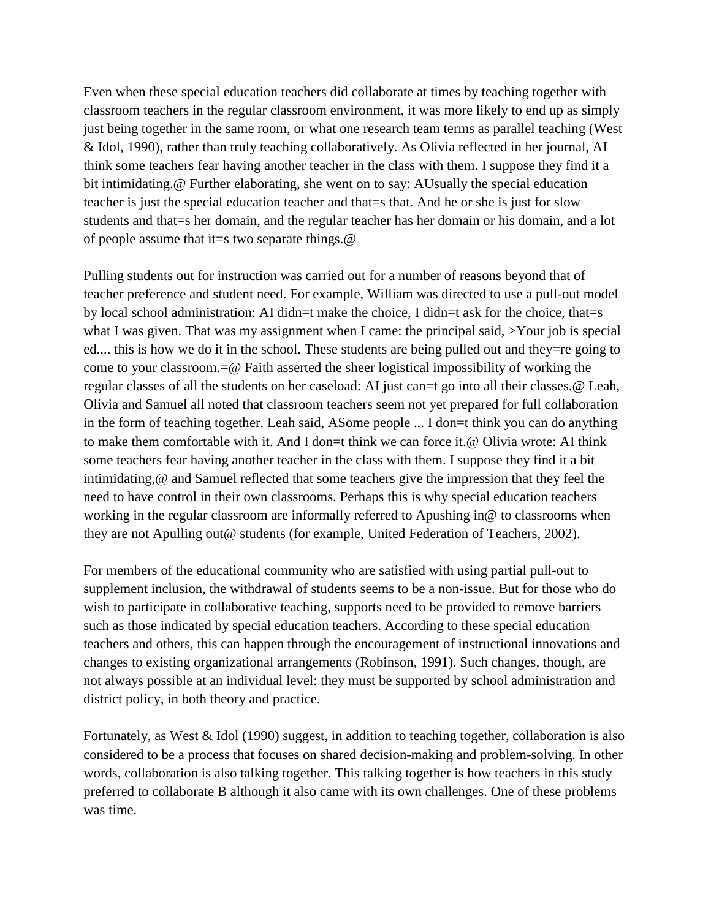Even when these special education teachers did collaborate at times by teaching together with classroom teachers in the regular classroom environment, it was more likely to end up as simply just being together in the same room, or what one research team terms as parallel teaching (West & Idol, 1990), rather than truly teaching collaboratively. As Olivia reflected in her journal, AI think some teachers fear having another teacher in the class with them. I suppose they find it a bit intimidating.@ Further elaborating, she went on to say: AUsually the special education teacher is just the special education teacher and that=s that. And he or she is just for slow students and that=s her domain, and the regular teacher has her domain or his domain, and a lot of people assume that it=s two separate things. $@$ 

Pulling students out for instruction was carried out for a number of reasons beyond that of teacher preference and student need. For example, William was directed to use a pull-out model by local school administration: AI didn=t make the choice, I didn=t ask for the choice, that=s what I was given. That was my assignment when I came: the principal said,  $\geq$ Your job is special ed.... this is how we do it in the school. These students are being pulled out and they=re going to come to your classroom.=@ Faith asserted the sheer logistical impossibility of working the regular classes of all the students on her caseload: AI just can=t go into all their classes.@ Leah, Olivia and Samuel all noted that classroom teachers seem not yet prepared for full collaboration in the form of teaching together. Leah said, ASome people ... I don=t think you can do anything to make them comfortable with it. And I don=t think we can force it.@ Olivia wrote: AI think some teachers fear having another teacher in the class with them. I suppose they find it a bit intimidating,@ and Samuel reflected that some teachers give the impression that they feel the need to have control in their own classrooms. Perhaps this is why special education teachers working in the regular classroom are informally referred to Apushing in@ to classrooms when they are not Apulling out@ students (for example, United Federation of Teachers, 2002).

For members of the educational community who are satisfied with using partial pull-out to supplement inclusion, the withdrawal of students seems to be a non-issue. But for those who do wish to participate in collaborative teaching, supports need to be provided to remove barriers such as those indicated by special education teachers. According to these special education teachers and others, this can happen through the encouragement of instructional innovations and changes to existing organizational arrangements (Robinson, 1991). Such changes, though, are not always possible at an individual level: they must be supported by school administration and district policy, in both theory and practice.

Fortunately, as West & Idol (1990) suggest, in addition to teaching together, collaboration is also considered to be a process that focuses on shared decision-making and problem-solving. In other words, collaboration is also talking together. This talking together is how teachers in this study preferred to collaborate B although it also came with its own challenges. One of these problems was time.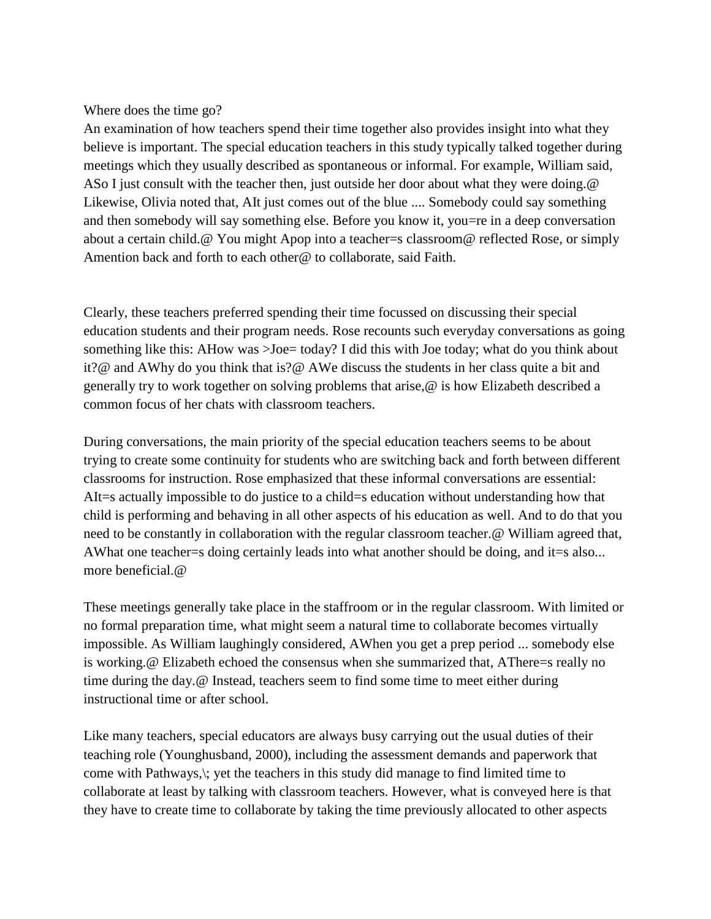# Where does the time go?

An examination of how teachers spend their time together also provides insight into what they believe is important. The special education teachers in this study typically talked together during meetings which they usually described as spontaneous or informal. For example, William said, ASo I just consult with the teacher then, just outside her door about what they were doing. @ Likewise, Olivia noted that, AIt just comes out of the blue .... Somebody could say something and then somebody will say something else. Before you know it, you=re in a deep conversation about a certain child.@ You might Apop into a teacher=s classroom@ reflected Rose, or simply Amention back and forth to each other@ to collaborate, said Faith.

Clearly, these teachers preferred spending their time focussed on discussing their special education students and their program needs. Rose recounts such everyday conversations as going something like this: AHow was  $>$  Joe = today? I did this with Joe today; what do you think about it?@ and AWhy do you think that is?@ AWe discuss the students in her class quite a bit and generally try to work together on solving problems that arise,@ is how Elizabeth described a common focus of her chats with classroom teachers.

During conversations, the main priority of the special education teachers seems to be about trying to create some continuity for students who are switching back and forth between different classrooms for instruction. Rose emphasized that these informal conversations are essential: AIt=s actually impossible to do justice to a child=s education without understanding how that child is performing and behaving in all other aspects of his education as well. And to do that you need to be constantly in collaboration with the regular classroom teacher.@ William agreed that, AWhat one teacher=s doing certainly leads into what another should be doing, and it=s also... more beneficial.@

These meetings generally take place in the staffroom or in the regular classroom. With limited or no formal preparation time, what might seem a natural time to collaborate becomes virtually impossible. As William laughingly considered, AWhen you get a prep period ... somebody else is working.@ Elizabeth echoed the consensus when she summarized that, AThere=s really no time during the day.@ Instead, teachers seem to find some time to meet either during instructional time or after school.

Like many teachers, special educators are always busy carrying out the usual duties of their teaching role (Younghusband, 2000), including the assessment demands and paperwork that come with Pathways,\; yet the teachers in this study did manage to find limited time to collaborate at least by talking with classroom teachers. However, what is conveyed here is that they have to create time to collaborate by taking the time previously allocated to other aspects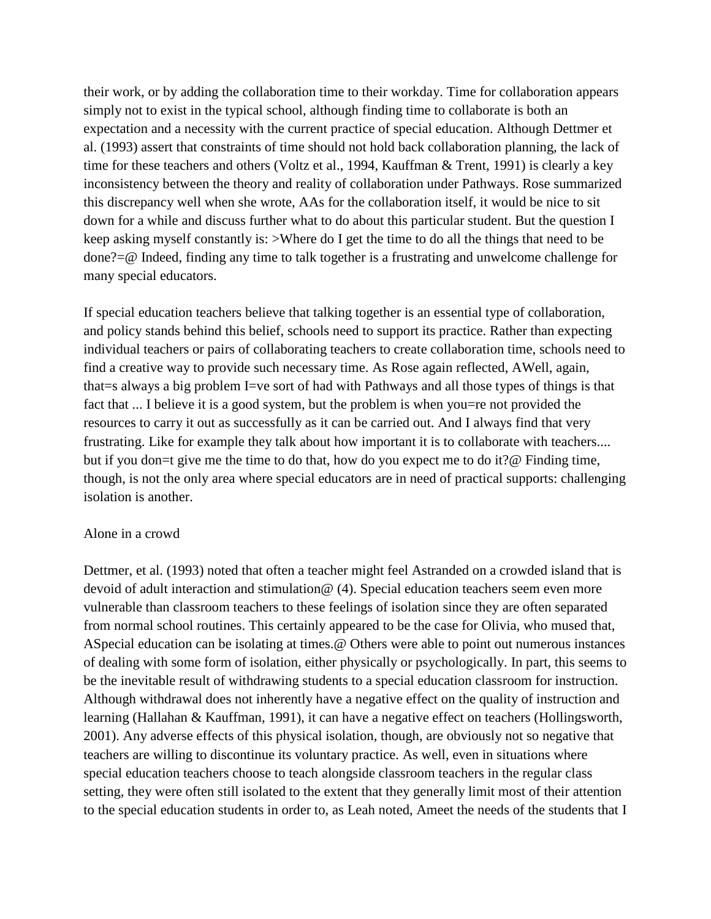their work, or by adding the collaboration time to their workday. Time for collaboration appears simply not to exist in the typical school, although finding time to collaborate is both an expectation and a necessity with the current practice of special education. Although Dettmer et al. (1993) assert that constraints of time should not hold back collaboration planning, the lack of time for these teachers and others (Voltz et al., 1994, Kauffman & Trent, 1991) is clearly a key inconsistency between the theory and reality of collaboration under Pathways. Rose summarized this discrepancy well when she wrote, AAs for the collaboration itself, it would be nice to sit down for a while and discuss further what to do about this particular student. But the question I keep asking myself constantly is: >Where do I get the time to do all the things that need to be done?=@ Indeed, finding any time to talk together is a frustrating and unwelcome challenge for many special educators.

If special education teachers believe that talking together is an essential type of collaboration, and policy stands behind this belief, schools need to support its practice. Rather than expecting individual teachers or pairs of collaborating teachers to create collaboration time, schools need to find a creative way to provide such necessary time. As Rose again reflected, AWell, again, that=s always a big problem I=ve sort of had with Pathways and all those types of things is that fact that ... I believe it is a good system, but the problem is when you=re not provided the resources to carry it out as successfully as it can be carried out. And I always find that very frustrating. Like for example they talk about how important it is to collaborate with teachers.... but if you don=t give me the time to do that, how do you expect me to do it?@ Finding time, though, is not the only area where special educators are in need of practical supports: challenging isolation is another.

#### Alone in a crowd

Dettmer, et al. (1993) noted that often a teacher might feel Astranded on a crowded island that is devoid of adult interaction and stimulation@ (4). Special education teachers seem even more vulnerable than classroom teachers to these feelings of isolation since they are often separated from normal school routines. This certainly appeared to be the case for Olivia, who mused that, ASpecial education can be isolating at times.@ Others were able to point out numerous instances of dealing with some form of isolation, either physically or psychologically. In part, this seems to be the inevitable result of withdrawing students to a special education classroom for instruction. Although withdrawal does not inherently have a negative effect on the quality of instruction and learning (Hallahan & Kauffman, 1991), it can have a negative effect on teachers (Hollingsworth, 2001). Any adverse effects of this physical isolation, though, are obviously not so negative that teachers are willing to discontinue its voluntary practice. As well, even in situations where special education teachers choose to teach alongside classroom teachers in the regular class setting, they were often still isolated to the extent that they generally limit most of their attention to the special education students in order to, as Leah noted, Ameet the needs of the students that I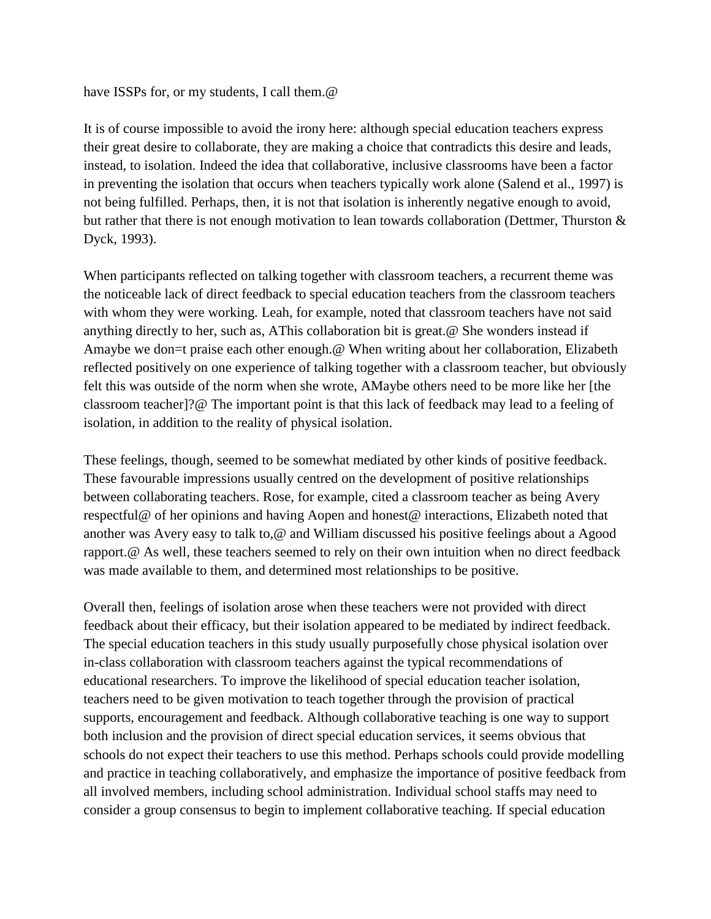#### have ISSPs for, or my students, I call them.  $\omega$

It is of course impossible to avoid the irony here: although special education teachers express their great desire to collaborate, they are making a choice that contradicts this desire and leads, instead, to isolation. Indeed the idea that collaborative, inclusive classrooms have been a factor in preventing the isolation that occurs when teachers typically work alone (Salend et al., 1997) is not being fulfilled. Perhaps, then, it is not that isolation is inherently negative enough to avoid, but rather that there is not enough motivation to lean towards collaboration (Dettmer, Thurston & Dyck, 1993).

When participants reflected on talking together with classroom teachers, a recurrent theme was the noticeable lack of direct feedback to special education teachers from the classroom teachers with whom they were working. Leah, for example, noted that classroom teachers have not said anything directly to her, such as, AThis collaboration bit is great.@ She wonders instead if Amaybe we don=t praise each other enough.@ When writing about her collaboration, Elizabeth reflected positively on one experience of talking together with a classroom teacher, but obviously felt this was outside of the norm when she wrote, AMaybe others need to be more like her [the classroom teacher]?@ The important point is that this lack of feedback may lead to a feeling of isolation, in addition to the reality of physical isolation.

These feelings, though, seemed to be somewhat mediated by other kinds of positive feedback. These favourable impressions usually centred on the development of positive relationships between collaborating teachers. Rose, for example, cited a classroom teacher as being Avery respectful@ of her opinions and having Aopen and honest@ interactions, Elizabeth noted that another was Avery easy to talk to,@ and William discussed his positive feelings about a Agood rapport.@ As well, these teachers seemed to rely on their own intuition when no direct feedback was made available to them, and determined most relationships to be positive.

Overall then, feelings of isolation arose when these teachers were not provided with direct feedback about their efficacy, but their isolation appeared to be mediated by indirect feedback. The special education teachers in this study usually purposefully chose physical isolation over in-class collaboration with classroom teachers against the typical recommendations of educational researchers. To improve the likelihood of special education teacher isolation, teachers need to be given motivation to teach together through the provision of practical supports, encouragement and feedback. Although collaborative teaching is one way to support both inclusion and the provision of direct special education services, it seems obvious that schools do not expect their teachers to use this method. Perhaps schools could provide modelling and practice in teaching collaboratively, and emphasize the importance of positive feedback from all involved members, including school administration. Individual school staffs may need to consider a group consensus to begin to implement collaborative teaching. If special education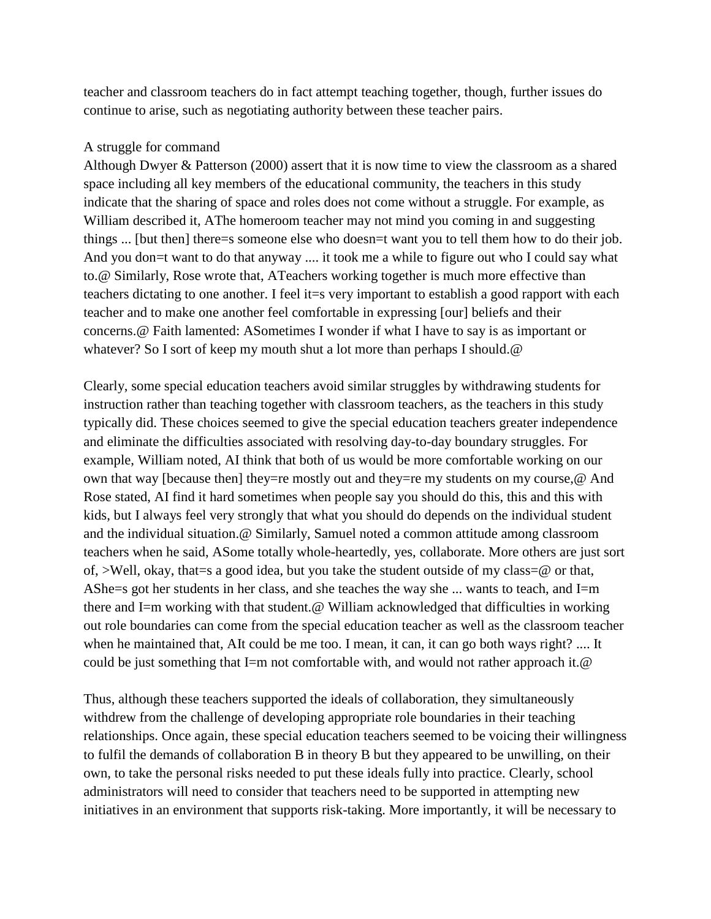teacher and classroom teachers do in fact attempt teaching together, though, further issues do continue to arise, such as negotiating authority between these teacher pairs.

## A struggle for command

Although Dwyer & Patterson (2000) assert that it is now time to view the classroom as a shared space including all key members of the educational community, the teachers in this study indicate that the sharing of space and roles does not come without a struggle. For example, as William described it, AThe homeroom teacher may not mind you coming in and suggesting things ... [but then] there=s someone else who doesn=t want you to tell them how to do their job. And you don=t want to do that anyway .... it took me a while to figure out who I could say what to.@ Similarly, Rose wrote that, ATeachers working together is much more effective than teachers dictating to one another. I feel it=s very important to establish a good rapport with each teacher and to make one another feel comfortable in expressing [our] beliefs and their concerns.@ Faith lamented: ASometimes I wonder if what I have to say is as important or whatever? So I sort of keep my mouth shut a lot more than perhaps I should. @

Clearly, some special education teachers avoid similar struggles by withdrawing students for instruction rather than teaching together with classroom teachers, as the teachers in this study typically did. These choices seemed to give the special education teachers greater independence and eliminate the difficulties associated with resolving day-to-day boundary struggles. For example, William noted, AI think that both of us would be more comfortable working on our own that way [because then] they=re mostly out and they=re my students on my course,@ And Rose stated, AI find it hard sometimes when people say you should do this, this and this with kids, but I always feel very strongly that what you should do depends on the individual student and the individual situation.@ Similarly, Samuel noted a common attitude among classroom teachers when he said, ASome totally whole-heartedly, yes, collaborate. More others are just sort of, >Well, okay, that=s a good idea, but you take the student outside of my class=@ or that, AShe=s got her students in her class, and she teaches the way she ... wants to teach, and I=m there and I=m working with that student.@ William acknowledged that difficulties in working out role boundaries can come from the special education teacher as well as the classroom teacher when he maintained that, AIt could be me too. I mean, it can, it can go both ways right? .... It could be just something that I=m not comfortable with, and would not rather approach it.@

Thus, although these teachers supported the ideals of collaboration, they simultaneously withdrew from the challenge of developing appropriate role boundaries in their teaching relationships. Once again, these special education teachers seemed to be voicing their willingness to fulfil the demands of collaboration B in theory B but they appeared to be unwilling, on their own, to take the personal risks needed to put these ideals fully into practice. Clearly, school administrators will need to consider that teachers need to be supported in attempting new initiatives in an environment that supports risk-taking. More importantly, it will be necessary to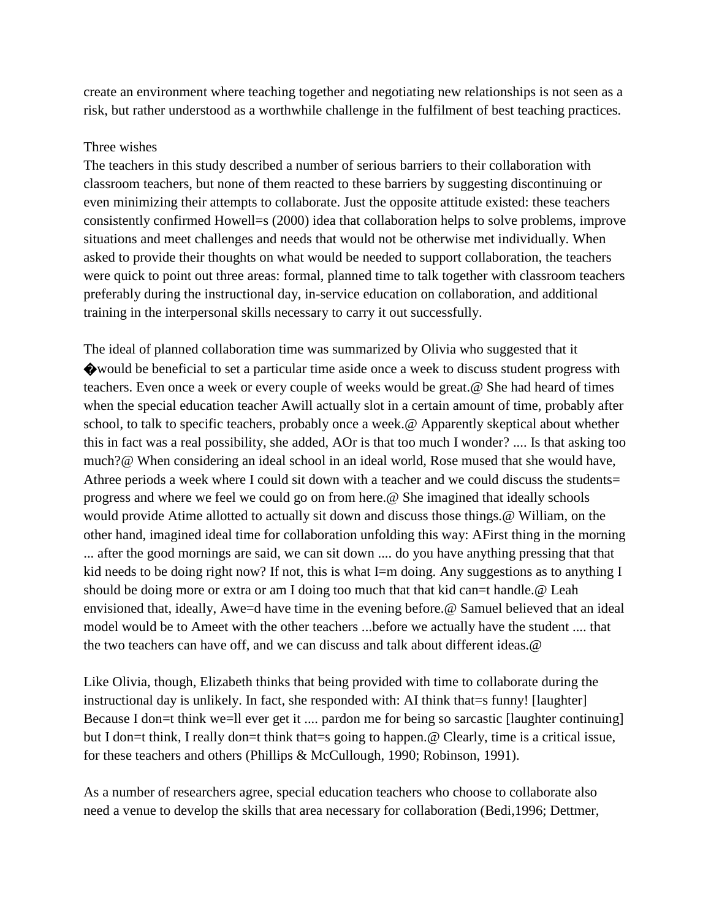create an environment where teaching together and negotiating new relationships is not seen as a risk, but rather understood as a worthwhile challenge in the fulfilment of best teaching practices.

#### Three wishes

The teachers in this study described a number of serious barriers to their collaboration with classroom teachers, but none of them reacted to these barriers by suggesting discontinuing or even minimizing their attempts to collaborate. Just the opposite attitude existed: these teachers consistently confirmed Howell=s (2000) idea that collaboration helps to solve problems, improve situations and meet challenges and needs that would not be otherwise met individually. When asked to provide their thoughts on what would be needed to support collaboration, the teachers were quick to point out three areas: formal, planned time to talk together with classroom teachers preferably during the instructional day, in-service education on collaboration, and additional training in the interpersonal skills necessary to carry it out successfully.

The ideal of planned collaboration time was summarized by Olivia who suggested that it �would be beneficial to set a particular time aside once a week to discuss student progress with teachers. Even once a week or every couple of weeks would be great.@ She had heard of times when the special education teacher Awill actually slot in a certain amount of time, probably after school, to talk to specific teachers, probably once a week.@ Apparently skeptical about whether this in fact was a real possibility, she added, AOr is that too much I wonder? .... Is that asking too much?@ When considering an ideal school in an ideal world, Rose mused that she would have, Athree periods a week where I could sit down with a teacher and we could discuss the students= progress and where we feel we could go on from here.@ She imagined that ideally schools would provide Atime allotted to actually sit down and discuss those things.@ William, on the other hand, imagined ideal time for collaboration unfolding this way: AFirst thing in the morning ... after the good mornings are said, we can sit down .... do you have anything pressing that that kid needs to be doing right now? If not, this is what I=m doing. Any suggestions as to anything I should be doing more or extra or am I doing too much that that kid can=t handle.@ Leah envisioned that, ideally, Awe=d have time in the evening before.@ Samuel believed that an ideal model would be to Ameet with the other teachers ...before we actually have the student .... that the two teachers can have off, and we can discuss and talk about different ideas.@

Like Olivia, though, Elizabeth thinks that being provided with time to collaborate during the instructional day is unlikely. In fact, she responded with: AI think that es funny! [laughter] Because I don=t think we=ll ever get it .... pardon me for being so sarcastic [laughter continuing] but I don=t think, I really don=t think that=s going to happen.@ Clearly, time is a critical issue, for these teachers and others (Phillips & McCullough, 1990; Robinson, 1991).

As a number of researchers agree, special education teachers who choose to collaborate also need a venue to develop the skills that area necessary for collaboration (Bedi,1996; Dettmer,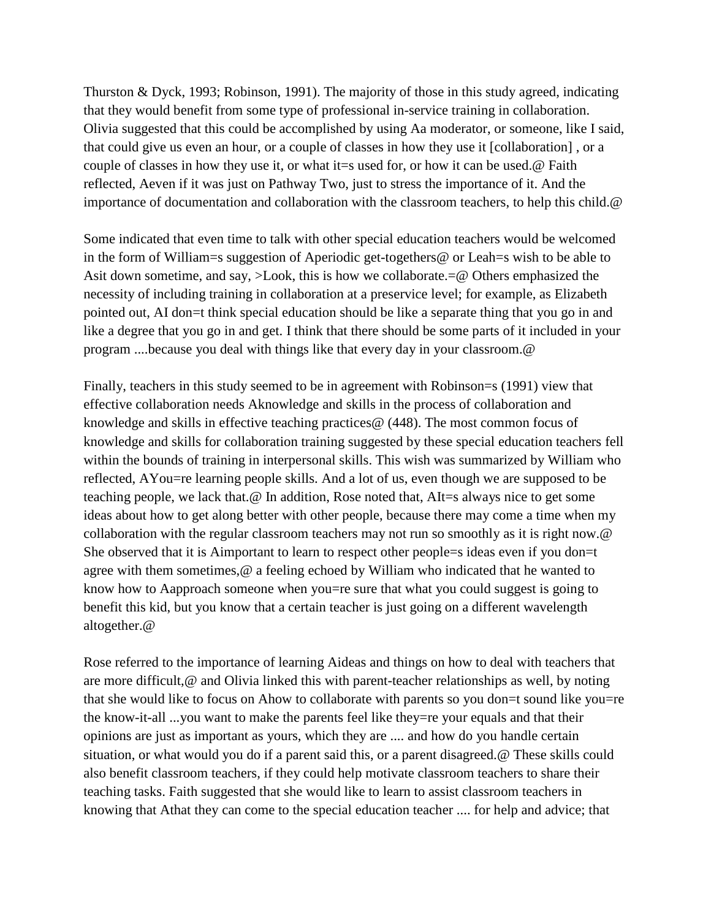Thurston & Dyck, 1993; Robinson, 1991). The majority of those in this study agreed, indicating that they would benefit from some type of professional in-service training in collaboration. Olivia suggested that this could be accomplished by using Aa moderator, or someone, like I said, that could give us even an hour, or a couple of classes in how they use it [collaboration] , or a couple of classes in how they use it, or what it=s used for, or how it can be used.@ Faith reflected, Aeven if it was just on Pathway Two, just to stress the importance of it. And the importance of documentation and collaboration with the classroom teachers, to help this child.@

Some indicated that even time to talk with other special education teachers would be welcomed in the form of William=s suggestion of Aperiodic get-togethers@ or Leah=s wish to be able to Asit down sometime, and say, >Look, this is how we collaborate.=@ Others emphasized the necessity of including training in collaboration at a preservice level; for example, as Elizabeth pointed out, AI don=t think special education should be like a separate thing that you go in and like a degree that you go in and get. I think that there should be some parts of it included in your program ....because you deal with things like that every day in your classroom.@

Finally, teachers in this study seemed to be in agreement with Robinson=s (1991) view that effective collaboration needs Aknowledge and skills in the process of collaboration and knowledge and skills in effective teaching practices@ (448). The most common focus of knowledge and skills for collaboration training suggested by these special education teachers fell within the bounds of training in interpersonal skills. This wish was summarized by William who reflected, AYou=re learning people skills. And a lot of us, even though we are supposed to be teaching people, we lack that.@ In addition, Rose noted that, AIt=s always nice to get some ideas about how to get along better with other people, because there may come a time when my collaboration with the regular classroom teachers may not run so smoothly as it is right now.@ She observed that it is Aimportant to learn to respect other people=s ideas even if you don=t agree with them sometimes,@ a feeling echoed by William who indicated that he wanted to know how to Aapproach someone when you=re sure that what you could suggest is going to benefit this kid, but you know that a certain teacher is just going on a different wavelength altogether.@

Rose referred to the importance of learning Aideas and things on how to deal with teachers that are more difficult,@ and Olivia linked this with parent-teacher relationships as well, by noting that she would like to focus on Ahow to collaborate with parents so you don=t sound like you=re the know-it-all ...you want to make the parents feel like they=re your equals and that their opinions are just as important as yours, which they are .... and how do you handle certain situation, or what would you do if a parent said this, or a parent disagreed.@ These skills could also benefit classroom teachers, if they could help motivate classroom teachers to share their teaching tasks. Faith suggested that she would like to learn to assist classroom teachers in knowing that Athat they can come to the special education teacher .... for help and advice; that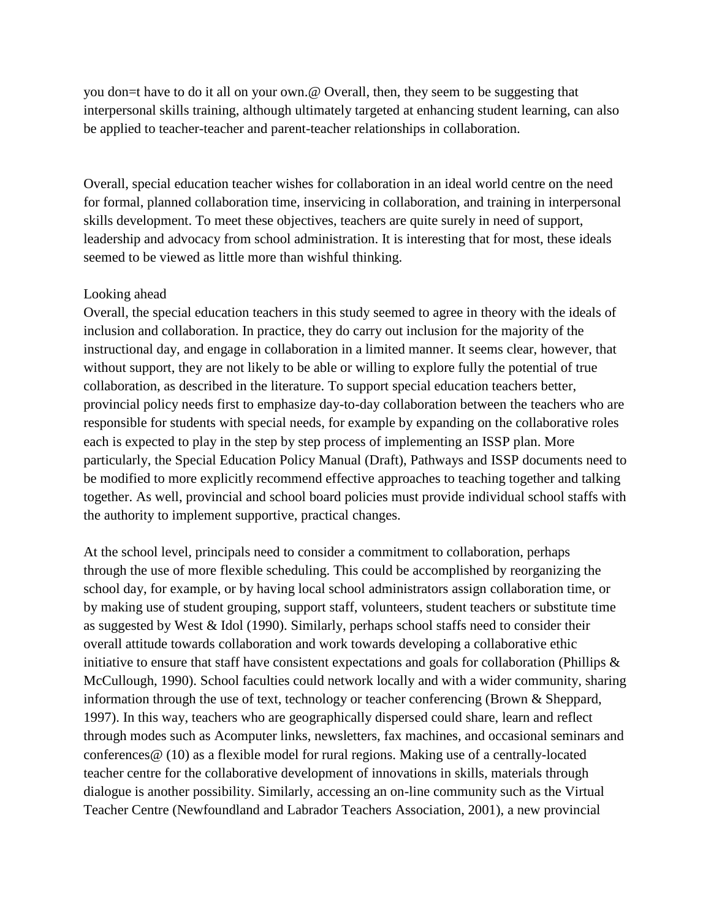you don=t have to do it all on your own.@ Overall, then, they seem to be suggesting that interpersonal skills training, although ultimately targeted at enhancing student learning, can also be applied to teacher-teacher and parent-teacher relationships in collaboration.

Overall, special education teacher wishes for collaboration in an ideal world centre on the need for formal, planned collaboration time, inservicing in collaboration, and training in interpersonal skills development. To meet these objectives, teachers are quite surely in need of support, leadership and advocacy from school administration. It is interesting that for most, these ideals seemed to be viewed as little more than wishful thinking.

# Looking ahead

Overall, the special education teachers in this study seemed to agree in theory with the ideals of inclusion and collaboration. In practice, they do carry out inclusion for the majority of the instructional day, and engage in collaboration in a limited manner. It seems clear, however, that without support, they are not likely to be able or willing to explore fully the potential of true collaboration, as described in the literature. To support special education teachers better, provincial policy needs first to emphasize day-to-day collaboration between the teachers who are responsible for students with special needs, for example by expanding on the collaborative roles each is expected to play in the step by step process of implementing an ISSP plan. More particularly, the Special Education Policy Manual (Draft), Pathways and ISSP documents need to be modified to more explicitly recommend effective approaches to teaching together and talking together. As well, provincial and school board policies must provide individual school staffs with the authority to implement supportive, practical changes.

At the school level, principals need to consider a commitment to collaboration, perhaps through the use of more flexible scheduling. This could be accomplished by reorganizing the school day, for example, or by having local school administrators assign collaboration time, or by making use of student grouping, support staff, volunteers, student teachers or substitute time as suggested by West & Idol (1990). Similarly, perhaps school staffs need to consider their overall attitude towards collaboration and work towards developing a collaborative ethic initiative to ensure that staff have consistent expectations and goals for collaboration (Phillips  $\&$ McCullough, 1990). School faculties could network locally and with a wider community, sharing information through the use of text, technology or teacher conferencing (Brown & Sheppard, 1997). In this way, teachers who are geographically dispersed could share, learn and reflect through modes such as Acomputer links, newsletters, fax machines, and occasional seminars and conferences@ (10) as a flexible model for rural regions. Making use of a centrally-located teacher centre for the collaborative development of innovations in skills, materials through dialogue is another possibility. Similarly, accessing an on-line community such as the Virtual Teacher Centre (Newfoundland and Labrador Teachers Association, 2001), a new provincial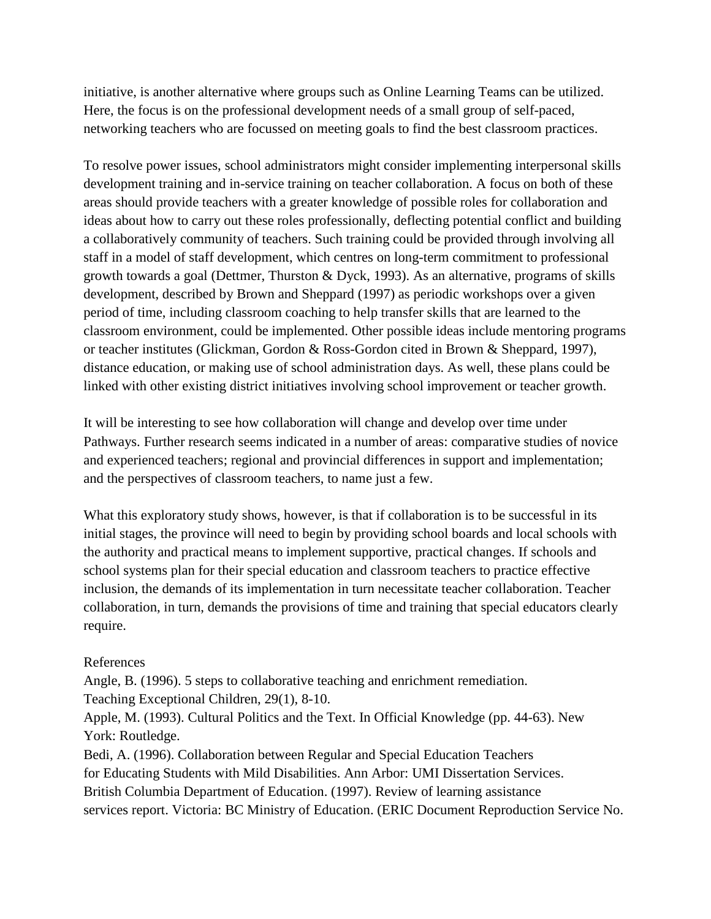initiative, is another alternative where groups such as Online Learning Teams can be utilized. Here, the focus is on the professional development needs of a small group of self-paced, networking teachers who are focussed on meeting goals to find the best classroom practices.

To resolve power issues, school administrators might consider implementing interpersonal skills development training and in-service training on teacher collaboration. A focus on both of these areas should provide teachers with a greater knowledge of possible roles for collaboration and ideas about how to carry out these roles professionally, deflecting potential conflict and building a collaboratively community of teachers. Such training could be provided through involving all staff in a model of staff development, which centres on long-term commitment to professional growth towards a goal (Dettmer, Thurston & Dyck, 1993). As an alternative, programs of skills development, described by Brown and Sheppard (1997) as periodic workshops over a given period of time, including classroom coaching to help transfer skills that are learned to the classroom environment, could be implemented. Other possible ideas include mentoring programs or teacher institutes (Glickman, Gordon & Ross-Gordon cited in Brown & Sheppard, 1997), distance education, or making use of school administration days. As well, these plans could be linked with other existing district initiatives involving school improvement or teacher growth.

It will be interesting to see how collaboration will change and develop over time under Pathways. Further research seems indicated in a number of areas: comparative studies of novice and experienced teachers; regional and provincial differences in support and implementation; and the perspectives of classroom teachers, to name just a few.

What this exploratory study shows, however, is that if collaboration is to be successful in its initial stages, the province will need to begin by providing school boards and local schools with the authority and practical means to implement supportive, practical changes. If schools and school systems plan for their special education and classroom teachers to practice effective inclusion, the demands of its implementation in turn necessitate teacher collaboration. Teacher collaboration, in turn, demands the provisions of time and training that special educators clearly require.

# References

Angle, B. (1996). 5 steps to collaborative teaching and enrichment remediation. Teaching Exceptional Children, 29(1), 8-10. Apple, M. (1993). Cultural Politics and the Text. In Official Knowledge (pp. 44-63). New York: Routledge. Bedi, A. (1996). Collaboration between Regular and Special Education Teachers for Educating Students with Mild Disabilities. Ann Arbor: UMI Dissertation Services. British Columbia Department of Education. (1997). Review of learning assistance

services report. Victoria: BC Ministry of Education. (ERIC Document Reproduction Service No.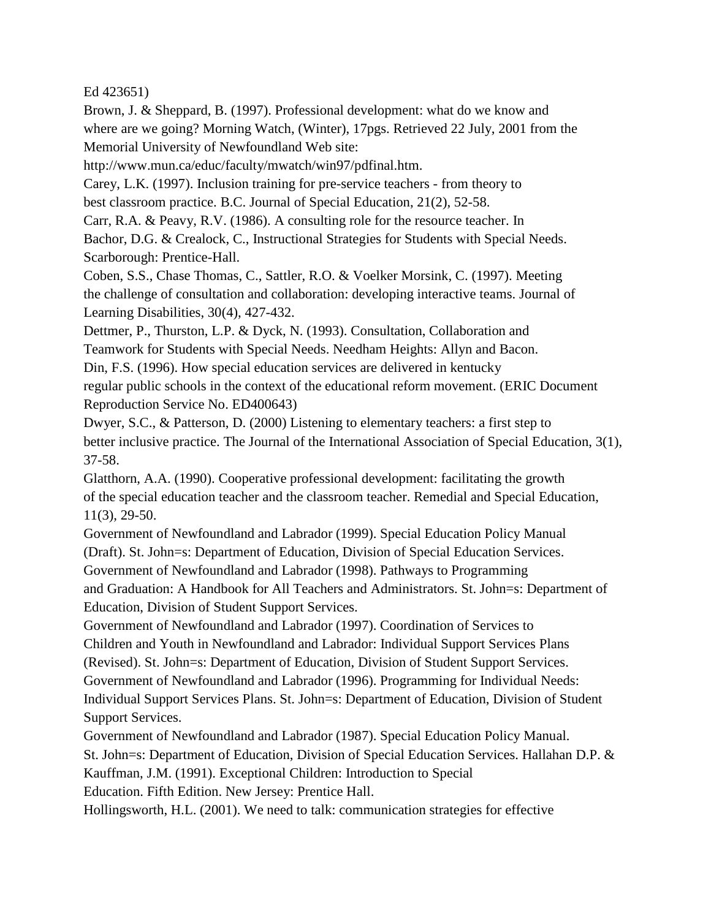Ed 423651)

Brown, J. & Sheppard, B. (1997). Professional development: what do we know and where are we going? Morning Watch, (Winter), 17pgs. Retrieved 22 July, 2001 from the Memorial University of Newfoundland Web site:

http://www.mun.ca/educ/faculty/mwatch/win97/pdfinal.htm.

Carey, L.K. (1997). Inclusion training for pre-service teachers - from theory to best classroom practice. B.C. Journal of Special Education, 21(2), 52-58.

Carr, R.A. & Peavy, R.V. (1986). A consulting role for the resource teacher. In

Bachor, D.G. & Crealock, C., Instructional Strategies for Students with Special Needs. Scarborough: Prentice-Hall.

Coben, S.S., Chase Thomas, C., Sattler, R.O. & Voelker Morsink, C. (1997). Meeting the challenge of consultation and collaboration: developing interactive teams. Journal of Learning Disabilities, 30(4), 427-432.

Dettmer, P., Thurston, L.P. & Dyck, N. (1993). Consultation, Collaboration and Teamwork for Students with Special Needs. Needham Heights: Allyn and Bacon.

Din, F.S. (1996). How special education services are delivered in kentucky regular public schools in the context of the educational reform movement. (ERIC Document Reproduction Service No. ED400643)

Dwyer, S.C., & Patterson, D. (2000) Listening to elementary teachers: a first step to better inclusive practice. The Journal of the International Association of Special Education, 3(1), 37-58.

Glatthorn, A.A. (1990). Cooperative professional development: facilitating the growth of the special education teacher and the classroom teacher. Remedial and Special Education, 11(3), 29-50.

Government of Newfoundland and Labrador (1999). Special Education Policy Manual (Draft). St. John=s: Department of Education, Division of Special Education Services. Government of Newfoundland and Labrador (1998). Pathways to Programming and Graduation: A Handbook for All Teachers and Administrators. St. John=s: Department of Education, Division of Student Support Services.

Government of Newfoundland and Labrador (1997). Coordination of Services to Children and Youth in Newfoundland and Labrador: Individual Support Services Plans (Revised). St. John=s: Department of Education, Division of Student Support Services. Government of Newfoundland and Labrador (1996). Programming for Individual Needs: Individual Support Services Plans. St. John=s: Department of Education, Division of Student Support Services.

Government of Newfoundland and Labrador (1987). Special Education Policy Manual. St. John=s: Department of Education, Division of Special Education Services. Hallahan D.P. & Kauffman, J.M. (1991). Exceptional Children: Introduction to Special Education. Fifth Edition. New Jersey: Prentice Hall.

Hollingsworth, H.L. (2001). We need to talk: communication strategies for effective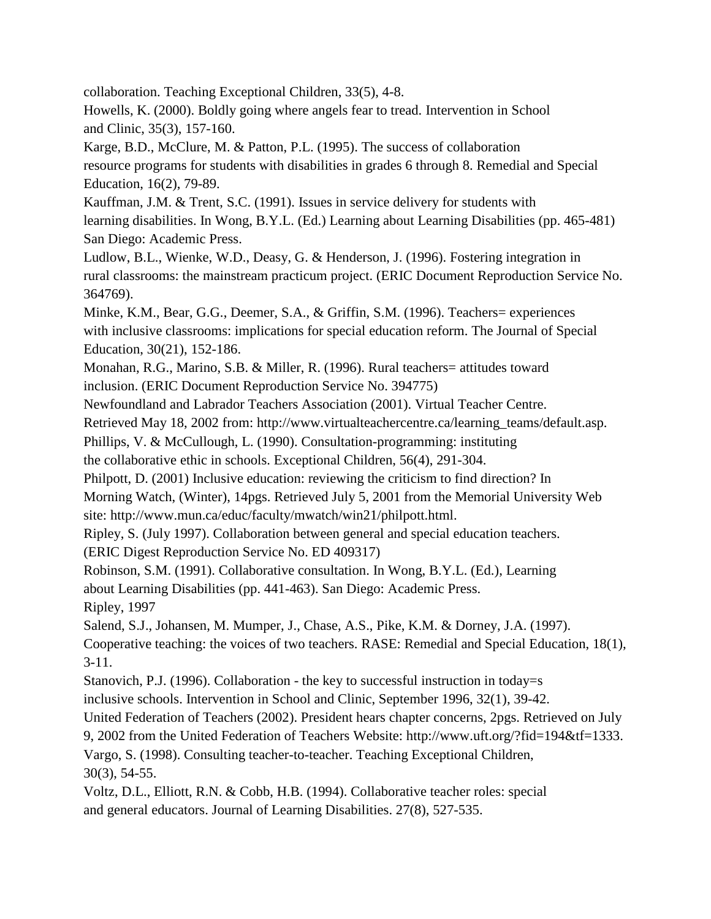collaboration. Teaching Exceptional Children, 33(5), 4-8.

Howells, K. (2000). Boldly going where angels fear to tread. Intervention in School and Clinic, 35(3), 157-160.

Karge, B.D., McClure, M. & Patton, P.L. (1995). The success of collaboration resource programs for students with disabilities in grades 6 through 8. Remedial and Special Education, 16(2), 79-89.

Kauffman, J.M. & Trent, S.C. (1991). Issues in service delivery for students with learning disabilities. In Wong, B.Y.L. (Ed.) Learning about Learning Disabilities (pp. 465-481) San Diego: Academic Press.

Ludlow, B.L., Wienke, W.D., Deasy, G. & Henderson, J. (1996). Fostering integration in rural classrooms: the mainstream practicum project. (ERIC Document Reproduction Service No. 364769).

Minke, K.M., Bear, G.G., Deemer, S.A., & Griffin, S.M. (1996). Teachers= experiences with inclusive classrooms: implications for special education reform. The Journal of Special Education, 30(21), 152-186.

Monahan, R.G., Marino, S.B. & Miller, R. (1996). Rural teachers= attitudes toward inclusion. (ERIC Document Reproduction Service No. 394775)

Newfoundland and Labrador Teachers Association (2001). Virtual Teacher Centre.

Retrieved May 18, 2002 from: http://www.virtualteachercentre.ca/learning\_teams/default.asp.

Phillips, V. & McCullough, L. (1990). Consultation-programming: instituting

the collaborative ethic in schools. Exceptional Children, 56(4), 291-304.

Philpott, D. (2001) Inclusive education: reviewing the criticism to find direction? In Morning Watch, (Winter), 14pgs. Retrieved July 5, 2001 from the Memorial University Web site: http://www.mun.ca/educ/faculty/mwatch/win21/philpott.html.

Ripley, S. (July 1997). Collaboration between general and special education teachers.

(ERIC Digest Reproduction Service No. ED 409317)

Robinson, S.M. (1991). Collaborative consultation. In Wong, B.Y.L. (Ed.), Learning

about Learning Disabilities (pp. 441-463). San Diego: Academic Press.

Ripley, 1997

Salend, S.J., Johansen, M. Mumper, J., Chase, A.S., Pike, K.M. & Dorney, J.A. (1997).

Cooperative teaching: the voices of two teachers. RASE: Remedial and Special Education, 18(1), 3-11.

Stanovich, P.J. (1996). Collaboration - the key to successful instruction in today=s

inclusive schools. Intervention in School and Clinic, September 1996, 32(1), 39-42.

United Federation of Teachers (2002). President hears chapter concerns, 2pgs. Retrieved on July

9, 2002 from the United Federation of Teachers Website: http://www.uft.org/?fid=194&tf=1333.

Vargo, S. (1998). Consulting teacher-to-teacher. Teaching Exceptional Children, 30(3), 54-55.

Voltz, D.L., Elliott, R.N. & Cobb, H.B. (1994). Collaborative teacher roles: special and general educators. Journal of Learning Disabilities. 27(8), 527-535.